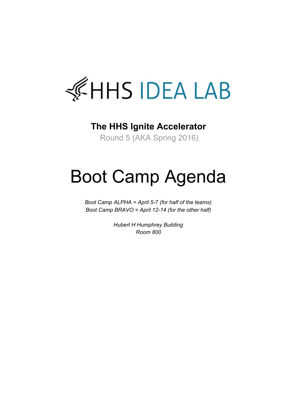

#### **The HHS Ignite Accelerator**

Round 5 (AKA Spring 2016)

# Boot Camp Agenda

*Boot Camp ALPHA = April 57 (for half of the teams) Boot Camp BRAVO = April 1214 (for the other half)*

> *Hubert H Humphrey Building Room 800*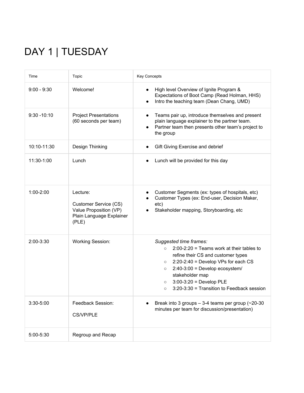## DAY 1 | TUESDAY

| Time           | Topic                                                                                            | <b>Key Concepts</b>                                                                                                                                                                                                                                                                                                                           |
|----------------|--------------------------------------------------------------------------------------------------|-----------------------------------------------------------------------------------------------------------------------------------------------------------------------------------------------------------------------------------------------------------------------------------------------------------------------------------------------|
| $9:00 - 9:30$  | Welcome!                                                                                         | High level Overview of Ignite Program &<br>$\bullet$<br>Expectations of Boot Camp (Read Holman, HHS)<br>Intro the teaching team (Dean Chang, UMD)<br>$\bullet$                                                                                                                                                                                |
| $9:30 - 10:10$ | <b>Project Presentations</b><br>(60 seconds per team)                                            | Teams pair up, introduce themselves and present<br>plain language explainer to the partner team.<br>Partner team then presents other team's project to<br>the group                                                                                                                                                                           |
| 10:10-11:30    | Design Thinking                                                                                  | Gift Giving Exercise and debrief                                                                                                                                                                                                                                                                                                              |
| 11:30-1:00     | Lunch                                                                                            | Lunch will be provided for this day                                                                                                                                                                                                                                                                                                           |
| $1:00-2:00$    | Lecture:<br>Customer Service (CS)<br>Value Proposition (VP)<br>Plain Language Explainer<br>(PLE) | Customer Segments (ex: types of hospitals, etc)<br>Customer Types (ex: End-user, Decision Maker,<br>etc)<br>Stakeholder mapping, Storyboarding, etc                                                                                                                                                                                           |
| 2:00-3:30      | <b>Working Session:</b>                                                                          | Suggested time frames:<br>$2:00-2:20$ = Teams work at their tables to<br>$\circ$<br>refine their CS and customer types<br>$2:20-2:40$ = Develop VPs for each CS<br>$\circ$<br>$2:40-3:00 =$ Develop ecosystem/<br>$\circ$<br>stakeholder map<br>$3:00-3:20 =$ Develop PLE<br>$\circ$<br>3:20-3:30 = Transition to Feedback session<br>$\circ$ |
| 3:30-5:00      | Feedback Session:<br><b>CS/VP/PLE</b>                                                            | Break into 3 groups $-$ 3-4 teams per group ( $\approx$ 20-30<br>minutes per team for discussion/presentation)                                                                                                                                                                                                                                |
| 5:00-5:30      | Regroup and Recap                                                                                |                                                                                                                                                                                                                                                                                                                                               |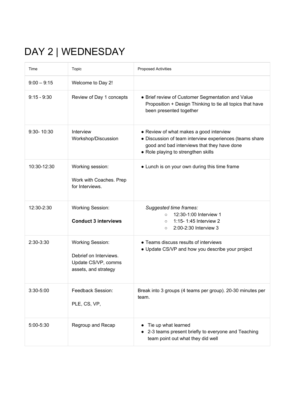## DAY 2 | WEDNESDAY

| Time          | Topic                                                                                            | <b>Proposed Activities</b>                                                                                                                                                               |
|---------------|--------------------------------------------------------------------------------------------------|------------------------------------------------------------------------------------------------------------------------------------------------------------------------------------------|
| $9:00 - 9:15$ | Welcome to Day 2!                                                                                |                                                                                                                                                                                          |
| $9:15 - 9:30$ | Review of Day 1 concepts                                                                         | • Brief review of Customer Segmentation and Value<br>Proposition + Design Thinking to tie all topics that have<br>been presented together                                                |
| 9:30-10:30    | Interview<br>Workshop/Discussion                                                                 | • Review of what makes a good interview<br>• Discussion of team interview experiences (teams share<br>good and bad interviews that they have done<br>• Role playing to strengthen skills |
| 10:30-12:30   | Working session:<br>Work with Coaches. Prep<br>for Interviews.                                   | • Lunch is on your own during this time frame                                                                                                                                            |
| 12:30-2:30    | <b>Working Session:</b><br><b>Conduct 3 interviews</b>                                           | Suggested time frames:<br>12:30-1:00 Interview 1<br>$\circ$<br>1:15-1:45 Interview 2<br>$\circ$<br>2:00-2:30 Interview 3<br>$\circ$                                                      |
| 2:30-3:30     | <b>Working Session:</b><br>Debrief on Interviews.<br>Update CS/VP, comms<br>assets, and strategy | • Teams discuss results of interviews<br>• Update CS/VP and how you describe your project                                                                                                |
| 3:30-5:00     | Feedback Session:<br>PLE, CS, VP,                                                                | Break into 3 groups (4 teams per group). 20-30 minutes per<br>team.                                                                                                                      |
| 5:00-5:30     | Regroup and Recap                                                                                | Tie up what learned<br>2-3 teams present briefly to everyone and Teaching<br>team point out what they did well                                                                           |